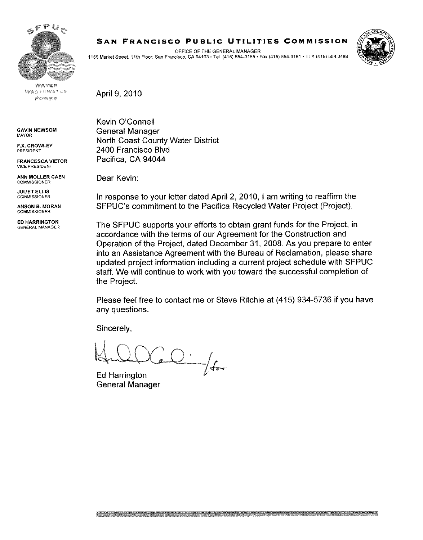

WATER WASTEWATER POWER

GAVIN NEWSOM MAYOR

F.X. CROWLEY PRESIDENT

FRANCESCA VIETOR VICE PRESSDENT

ANN MOLLER CAEN COMMISSIONER

JULIET ELLIS COMMISSIONER

ANSON B. MORAN **COMMISSIONER** 

ED HARRINGTON GENERAL MANAGER **S A N FRANCISC O PUBLI C UTILITIE S COMMISSIO N** 

OFFICE OF THE GENERAL MANAGER 1155 Market Street, 11th Floor, San Francisco, CA 94103 • Tel. (415) 554-3155 • Fax (415) 554-3161 • TTY (415) 554.3488



April 9, 2010

Kevin O'Connell General Manager North Coast County Water District 2400 Francisco Blvd. Pacifica, CA 94044

Dear Kevin:

In response to your letter dated April 2, 2010, I am writing to reaffirm the SFPUC's commitment to the Pacifica Recycled Water Project (Project).

The SFPUC supports your efforts to obtain grant funds for the Project, in accordance with the terms of our Agreement for the Construction and Operation of the Project, dated December 31, 2008. As you prepare to enter into an Assistance Agreement with the Bureau of Reclamation, please share updated project information including a current project schedule with SFPUC staff. We will continue to work with you toward the successful completion of the Project.

Please feel free to contact me or Steve Ritchie at (415) 934-5736 if you have any questions.

Sincerely,

 $Q\cdot \text{ for }% \mathbb{R} \rightarrow \mathbb{R} \text{ for }% \mathbb{R} \rightarrow \mathbb{R} \text{ for }% \mathbb{R} \rightarrow \mathbb{R} \text{ for }% \mathbb{R} \rightarrow \mathbb{R} \text{ for }% \mathbb{R} \rightarrow \mathbb{R} \text{ for }% \mathbb{R} \rightarrow \mathbb{R} \text{ for }% \mathbb{R} \rightarrow \mathbb{R} \text{ for }% \mathbb{R} \rightarrow \mathbb{R} \text{ for }% \mathbb{R} \rightarrow \mathbb{R} \text{ for }% \mathbb{R} \rightarrow \mathbb{R} \text{ for }% \mathbb{R} \rightarrow \mathbb$ 

**Ed Harrington** General Manager